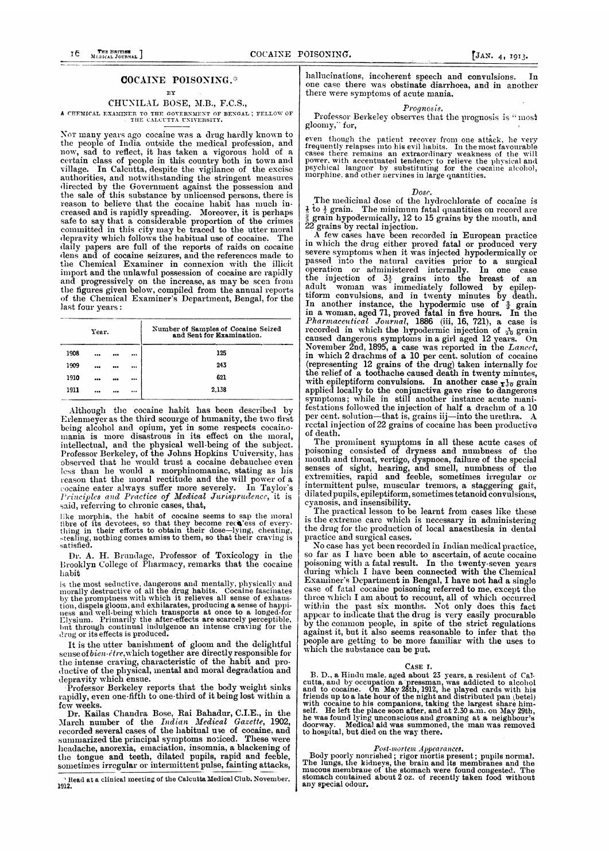## COCAINE POISONING.

## BY

## CHUNILAL BOSE, M.B., F.C.S.,

# A CHEMICAL EXAMINER TO THE GOVERNMENT OF BENGAL; FELLOW OF THE CALCUTTA UNIVERSITY.

Nor many years ago cocaine was a drug hardly known to the people of India outside the medical profession, and now, sad to reflect, it has taken a vigorous hold of a certain class of people in this country both in town and village. In Calcutta, despite the vigilance of the excise authorities, and notwithstanding the stringent measures<br>directed by the Government against the possession and the sale of this substance by unlicensed persons, there is<br>reason to believe that the cocaine habit has much increased and is rapidly spreading. Moreover, it is perhaps safe to say that a considerable proportion of the crimes committed in this city may be traced to the utter moral depravity which follows the habitual use of cocaine. The daily papers are full of the reports of raids on cocaine<br>dens and of cocaine seizures, and the references made to the Chemical Examiner in connexion with the illicit import and the unlawful possession of cocaine are rapidly and progressively on the increase, as may be seen from the figures given below, compiled from the annual reports of the Chemical Examiner's Department, Bengal, for the last four years:

| Year. |  |  |  | Number of Samples of Cocaine Seized<br>and Sent for Examination. |  |  |  |
|-------|--|--|--|------------------------------------------------------------------|--|--|--|
| 1908  |  |  |  | 125                                                              |  |  |  |
| 1909  |  |  |  | 243                                                              |  |  |  |
| 1910  |  |  |  | 621                                                              |  |  |  |
| 1911  |  |  |  | 2,138                                                            |  |  |  |
|       |  |  |  |                                                                  |  |  |  |

Although the cocaine habit has been described by Erlenmeyer as the third scourge of humanity, the two first being alcohol and opium, yet in some respects cocainobung is more disastrous in its effect on the moral, intellectual, and the physical well-being of the subject.<br>Professor Berkeley, of the Johns Hopkins University, has observed that he would trust a cocaine debauchee even less than he would a morphinomaniac, stating as his reason that the moral rectitude and the will power of a cocaine eater always suffer more severely. In Taylor's<br>Principles and Practice of Medical Jurisprudence, it is said, referring to chronic cases, that,

like morphia, the habit of cocaine seems to sap the moral like morphia, the habit of cocaine seems to sap the moral through thing in their efforts to obtain their dose—lying, cheating, stealing, nothing comes amiss to them

Dr. A. H. Brundage, Professor of Toxicology in the Brooklyn College of Pharmacy, remarks that the cocaine habit

is the most seductive, dangerous and mentally, physically and morally destructive of all the drug habits. Cocaine fascinates by the promptness with which it relieves all sense of exhausby the promptness with which it refleves all sense of exhaustion, dispels gloom, and exhilarates, producing a sense of happiness and well-being which transports at once to a longed-for Llysium. Primarily the after-effects

It is the utter banishment of gloom and the delightful sense of bien-être, which together are directly responsible for the intense craving, characteristic of the habit and productive of the physical, mental and moral degradation and depravity which ensue.

Professor Berkeley reports that the body weight sinks rapidly, even one-fifth to one-third of it being lost within a few weeks.

Tew weeks.<br>Dr. Kailas Chandra Bose, Rai Bahadur, C.I.E., in the March number of the *Indian Medical Gazette*, 1902, recorded several cases of the habitual use of cocaine, and summarized the principal symptoms noticed. Thes headache, anorexia, emaciation, insomnia, a blackening of<br>the tongue and teeth, dilated pupils, rapid and feeble, sometimes irregular or intermittent pulse, fainting attacks,

Read at a clinical meeting of the Calcut<mark>ta Me</mark>dical Club. November,  $1912$ 

hallucinations, incoherent speech and convulsions. Tn. one case there was obstinate diarrhoea, and in another there were symptoms of acute mania.

### Prognosis.

Professor Berkeley observes that the prognosis is "most gloomy," for,

even though the patient recover from one attack, he very frequently relapses into his evil habits. In the most favourable cases there remains an extraordinary weakness of the will power, with accentuated tendency to reliev

### Dosc.

The medicinal dose of the hydrochlorate of cocaine is  $\frac{1}{6}$  to  $\frac{1}{2}$  grain. The minimum fatal quantities on record are grain hypodermically, 12 to 15 grains by the mouth, and grains by rectal injection.

A few cases have been recorded in European practice in which the drug either proved fatal or produced very in which the drug either proved tatal or produced very<br>severe symptoms when it was injected hypodermically or<br>passed into the natural cavities prior to a surgical<br>operation or administered internally. In one case<br>the inje the conventions, and in twenty minutes by death.<br>In another instance, the hypodermic use of  $\frac{3}{3}$  grain<br>in a woman, aged 71, proved fatal in five hours. In the<br>*Pharmaceutical Journal*, 1886 (iii, 16, 721), a case is<br> recovered in which as in producting in a girl aged 12 years. On<br>November 2nd, 1895, a case was reported in the Lancet,<br>in which 2 drachms of a 10 per cent. solution of cocaine<br>(representing 12 grains of the drug) taken in with epileptiform convulsions. In another case  $_{\mathbf{I}}\mathbf{I}_{\sigma}$  grain applied locally to the conjunctiva gave rise to dangerous<br>symptoms; while in still another instance acute manifestations followed the injection of half a drachm of a 10 per cent. solution-that is, grains iij-into the urethra. A rectal injection of 22 grains of cocaine has been productive of death.

The prominent symptoms in all these acute cases of<br>poisoning consisted of dryness and numbness of the mouth and throat, vertigo, dyspnoca, failure of the special<br>senses of sight, hearing, and smell, numbness of the<br>extremities, rapid and feeble, sometimes irregular or intermittent pulse, muscular tremors, a staggering gait, dilated pupils, epileptiform, sometimes tetanoid convulsions, cyanosis, and insensibility.

The practical lesson to be learnt from cases like these is the extreme care which is necessary in administering the drug for the production of local anaesthesia in dental practice and surgical cases.

No case has yet been recorded in Indian medical practice, From an intervention and the distribution of actual processing<br>poisoning with a fatal result. In the twenty-seven years<br>during which I have been connected with the Chemical Examiner's Department in Bengal, I have not had a single case of fatal cocaine poisoning referred to me, except the three which I am about to recount, all of which occurred which is all about to recount, an of which occurred<br>within the past six months. Not only does this fact<br>appear to indicate that the drug is very easily procurable<br>by the common people, in spite of the strict regulations against it, but it also seems reasonable to infer that the people are getting to be more familiar with the uses to which the substance can be put.

### CASE I.

CASE I.<br>
B. D., a Hindu male, aged about 23 years, a resident of Calcutta, and by occupation a pressman, was addicted to alcohol<br>
and to cocaine. On May 28th, 1912, he played cards with his<br>
friends up to a late hour of th

Post-mortem Appearances.<br>Body poorly nonrished; rigor mortis present; pupils normal.<br>The lungs, the kidneys, the brain and its membranes and the<br>mucous membrane of the stomach were found congested. The<br>stomach contained ab